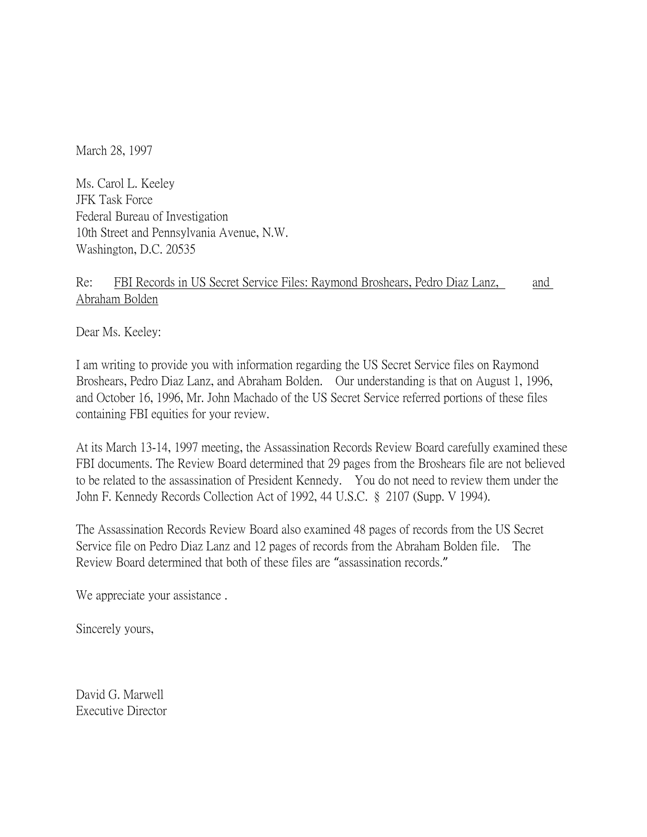March 28, 1997

Ms. Carol L. Keeley JFK Task Force Federal Bureau of Investigation 10th Street and Pennsylvania Avenue, N.W. Washington, D.C. 20535

## Re: FBI Records in US Secret Service Files: Raymond Broshears, Pedro Diaz Lanz, and Abraham Bolden

Dear Ms. Keeley:

I am writing to provide you with information regarding the US Secret Service files on Raymond Broshears, Pedro Diaz Lanz, and Abraham Bolden. Our understanding is that on August 1, 1996, and October 16, 1996, Mr. John Machado of the US Secret Service referred portions of these files containing FBI equities for your review.

At its March 13-14, 1997 meeting, the Assassination Records Review Board carefully examined these FBI documents. The Review Board determined that 29 pages from the Broshears file are not believed to be related to the assassination of President Kennedy. You do not need to review them under the John F. Kennedy Records Collection Act of 1992, 44 U.S.C. § 2107 (Supp. V 1994).

The Assassination Records Review Board also examined 48 pages of records from the US Secret Service file on Pedro Diaz Lanz and 12 pages of records from the Abraham Bolden file. The Review Board determined that both of these files are "assassination records."

We appreciate your assistance.

Sincerely yours,

David G. Marwell Executive Director